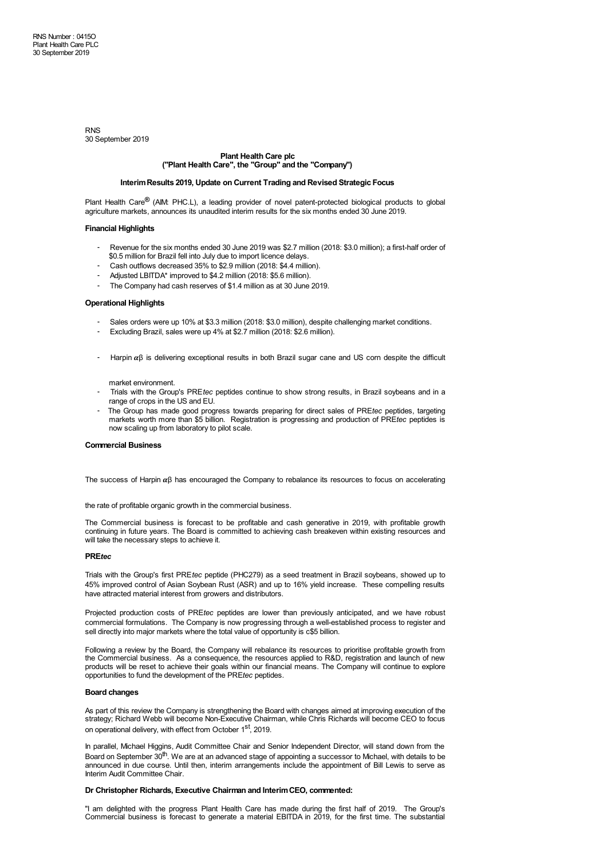RNS 30 September 2019

# **Plant Health Care plc ("Plant Health Care", the "Group" and the "Company")**

# **InterimResults 2019, Update on Current Trading and Revised Strategic Focus**

Plant Health Care**®** (AIM: PHC.L), a leading provider of novel patent-protected biological products to global agriculture markets, announces its unaudited interim results for the six months ended 30 June 2019.

# **Financial Highlights**

- Revenue for the six months ended 30 June 2019 was \$2.7 million (2018: \$3.0 million); a first-half order of \$0.5 million for Brazil fell into July due to import licence delays.
- Cash outflows decreased 35% to \$2.9 million (2018: \$4.4 million).
- Adjusted LBITDA\* improved to \$4.2 million (2018: \$5.6 million).
- The Company had cash reserves of \$1.4 million as at 30 June 2019.

# **Operational Highlights**

- Sales orders were up 10% at \$3.3 million (2018: \$3.0 million), despite challenging market conditions.
- Excluding Brazil, sales were up 4% at \$2.7 million (2018: \$2.6 million).
- Harpin  $αβ$  is delivering exceptional results in both Brazil sugar cane and US corn despite the difficult

market environment.

- Trials with the Group's PRE*tec* peptides continue to show strong results, in Brazil soybeans and in a range of crops in the US and EU.
- The Group has made good progress towards preparing for direct sales of PRE*tec* peptides, targeting markets worth more than \$5 billion. Registration is progressing and production of PRE*tec* peptides is now scaling up from laboratory to pilot scale.

# **Commercial Business**

The success of Harpin αβ has encouraged the Company to rebalance its resources to focus on accelerating

the rate of profitable organic growth in the commercial business.

The Commercial business is forecast to be profitable and cash generative in 2019, with profitable growth continuing in future years. The Board is committed to achieving cash breakeven within existing resources and will take the necessary steps to achieve it.

# **PRE***tec*

Trials with the Group's first PRE*tec* peptide (PHC279) as a seed treatment in Brazil soybeans, showed up to 45% improved control of Asian Soybean Rust (ASR) and up to 16% yield increase. These compelling results have attracted material interest from growers and distributors.

Projected production costs of PRE*tec* peptides are lower than previously anticipated, and we have robust commercial formulations. The Company is now progressing through a well-established process to register and sell directly into major markets where the total value of opportunity is c\$5 billion.

Following a review by the Board, the Company will rebalance its resources to prioritise profitable growth from the Commercial business. As a consequence, the resources applied to R&D, registration and launch of new products will be reset to achieve their goals within our financial means. The Company will continue to explore opportunities to fund the development of the PRE*tec* peptides.

#### **Board changes**

As part of this review the Company is strengthening the Board with changes aimed at improving execution of the strategy; Richard Webb will become Non-Executive Chairman, while Chris Richards will become CEO to focus on operational delivery, with effect from October 1<sup>st</sup>, 2019.

In parallel, Michael Higgins, Audit Committee Chair and Senior Independent Director, will stand down from the Board on September 30<sup>th</sup>. We are at an advanced stage of appointing a successor to Michael, with details to be announced in due course. Until then, interim arrangements include the appointment of Bill Lewis to serve as Interim Audit Committee Chair.

# **Dr Christopher Richards, Executive Chairman and InterimCEO, commented:**

"I am delighted with the progress Plant Health Care has made during the first half of 2019. The Group's Commercial business is forecast to generate a material EBITDA in 2019, for the first time. The substantial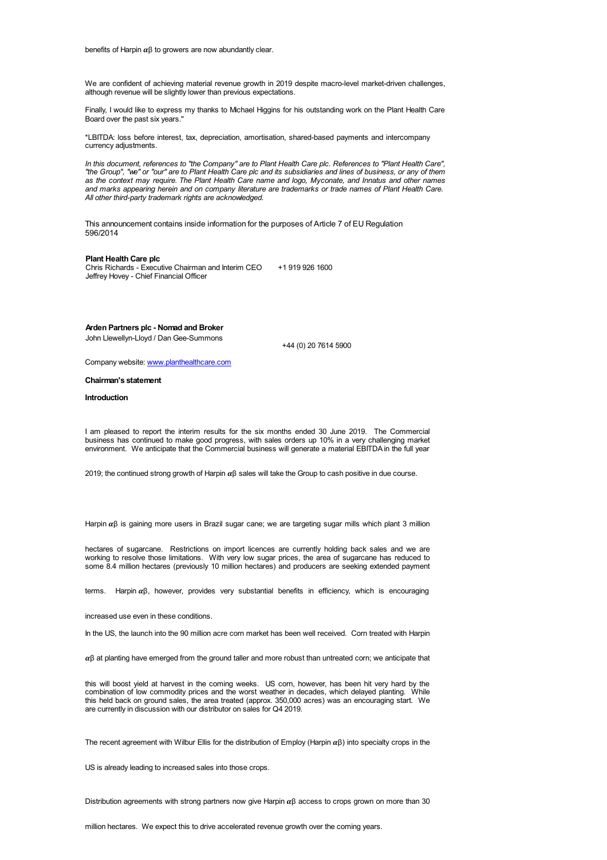benefits of Harpin  $\alpha$ B to growers are now abundantly clear.

We are confident of achieving material revenue growth in 2019 despite macro-level market-driven challenges, although revenue will be slightly lower than previous expectations.

Finally, I would like to express my thanks to Michael Higgins for his outstanding work on the Plant Health Care Board over the past six years."

\*LBITDA: loss before interest, tax, depreciation, amortisation, shared-based payments and intercompany currency adjustments.

In this document, references to "the Company" are to Plant Health Care plc. References to "Plant Health Care", "the Group". "we" or "our" are to Plant Health Care plc and its subsidiaries and lines of business, or any of them<br>"the Group". "we" or "our" are to Plant Health Care plc and its subsidiaries and lines of business, or any as the context may require. The Plant Health Care name and logo, Myconate, and Innatus and other names *and marks appearing herein and on company literature are trademarks or trade names of Plant Health Care. All other third-party trademark rights are acknowledged.*

This announcement contains inside information for the purposes of Article 7 of EU Regulation 596/2014

#### **Plant Health Care plc**

Chris Richards - Executive Chairman and Interim CEO Jeffrey Hovey - Chief Financial Officer +1 919 926 1600

# **Arden Partners plc - Nomad and Broker**

John Llewellyn-Lloyd / Dan Gee-Summons

+44 (0) 20 7614 5900

Company website: [www.planthealthcare.com](http://www.planthealthcare.com/)

#### **Chairman's statement**

### **Introduction**

I am pleased to report the interim results for the six months ended 30 June 2019. The Commercial business has continued to make good progress, with sales orders up 10% in a very challenging market environment. We anticipate that the Commercial business will generate a material EBITDA in the full year

2019; the continued strong growth of Harpin  $αβ$  sales will take the Group to cash positive in due course.

Harpin  $αβ$  is gaining more users in Brazil sugar cane; we are targeting sugar mills which plant 3 million

hectares of sugarcane. Restrictions on import licences are currently holding back sales and we are working to resolve those limitations. With very low sugar prices, the area of sugarcane has reduced to some 8.4 million hectares (previously 10 million hectares) and producers are seeking extended payment<br>terms. Harpin αβ, however, provides very substantial benefits in efficiency, which is encouraging

increased use even in these conditions.

In the US, the launch into the 90 million acre corn market has been well received. Corn treated with Harpin

 $\alpha\beta$  at planting have emerged from the ground taller and more robust than untreated corn; we anticipate that

this will boost yield at harvest in the coming weeks. US corn, however, has been hit very hard by the combination of low commodity prices and the worst weather in decades, which delayed planting. While this held back on ground sales, the area treated (approx. 350,000 acres) was an encouraging start. We are currently in discussion with our distributor on sales for Q4 2019.

The recent agreement with Wilbur Ellis for the distribution of Employ (Harpin  $\alpha\beta$ ) into specialty crops in the

US is already leading to increased sales into those crops.

Distribution agreements with strong partners now give Harpin  $\alpha\beta$  access to crops grown on more than 30

million hectares. We expect this to drive accelerated revenue growth over the coming years.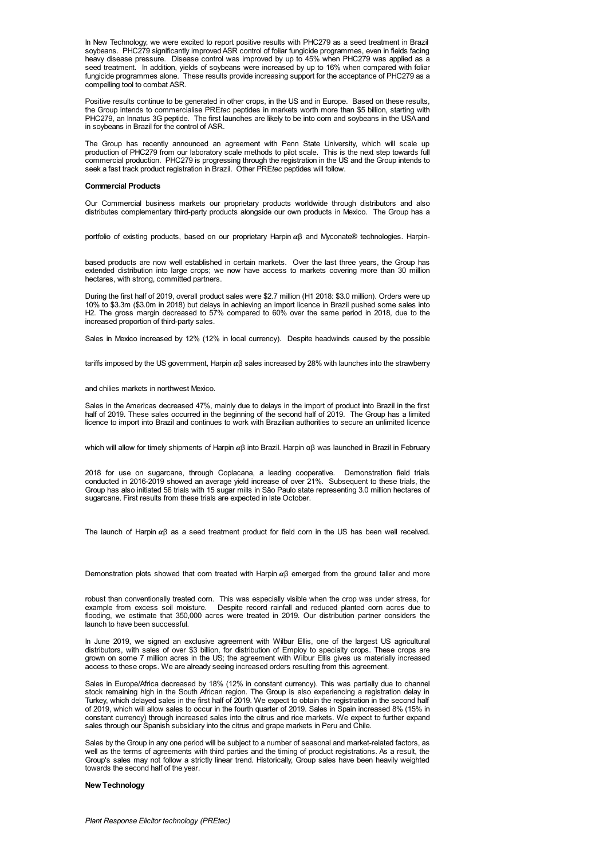In New Technology, we were excited to report positive results with PHC279 as a seed treatment in Brazil soybeans. PHC279 significantly improved ASR control of foliar fungicide programmes, even in fields facing heavy disease pressure. Disease control was improved by up to 45% when PHC279 was applied as a seed treatment. In addition, yields of soybeans were increased by up to 16% when compared with foliar fungicide programmes alone. These results provide increasing support for the acceptance of PHC279 as a compelling tool to combat ASR.

Positive results continue to be generated in other crops, in the US and in Europe. Based on these results, the Group intends to commercialise PRE*tec* peptides in markets worth more than \$5 billion, starting with PHC279, an Innatus 3G peptide. The first launches are likely to be into corn and soybeans in the USAand in soybeans in Brazil for the control of ASR.

The Group has recently announced an agreement with Penn State University, which will scale up production of PHC279 from our laboratory scale methods to pilot scale. This is the next step towards full commercial production. PHC279 is progressing through the registration in the US and the Group intends to seek a fast track product registration in Brazil. Other PRE*tec* peptides will follow.

### **Commercial Products**

Our Commercial business markets our proprietary products worldwide through distributors and also distributes complementary third-party products alongside our own products in Mexico. The Group has a<br>portfolio of existing products, based on our proprietary Harpin αβ and Myconate® technologies. Harpin-

based products are now well established in certain markets. Over the last three years, the Group has extended distribution into large crops; we now have access to markets covering more than 30 million hectares, with strong, committed partners.

During the first half of 2019, overall product sales were \$2.7 million (H1 2018: \$3.0 million). Orders were up 10% to \$3.3m (\$3.0m in 2018) but delays in achieving an import licence in Brazil pushed some sales into H2. The gross margin decreased to 57% compared to 60% over the same period in 2018, due to the increased proportion of third-party sales.

Sales in Mexico increased by 12% (12% in local currency). Despite headwinds caused by the possible

tariffs imposed by the US government, Harpin  $\alpha\beta$  sales increased by 28% with launches into the strawberry

#### and chilies markets in northwest Mexico.

Sales in the Americas decreased 47%, mainly due to delays in the import of product into Brazil in the first half of 2019. These sales occurred in the beginning of the second half of 2019. The Group has a limited licence to import into Brazil and continues to work with Brazilian authorities to secure an unlimited licence

which will allow for timely shipments of Harpin αβ into Brazil. Harpin αβ was launched in Brazil in February

2018 for use on sugarcane, through Coplacana, a leading cooperative. Demonstration field trials conducted in 2016-2019 showed an average yield increase of over 21%. Subsequent to these trials, the Group has also initiated 56 trials with 15 sugar mills in São Paulo state representing 3.0 million hectares of sugarcane. First results from these trials are expected in late October.

The launch of Harpin  $\alpha\beta$  as a seed treatment product for field corn in the US has been well received.

Demonstration plots showed that corn treated with Harpin  $\alpha\beta$  emerged from the ground taller and more

robust than conventionally treated corn. This was especially visible when the crop was under stress, for example from excess soil moisture. Despite record rainfall and reduced planted corn acres due to flooding, we estimate that 350,000 acres were treated in 2019. Our distribution partner considers the launch to have been successful.

In June 2019, we signed an exclusive agreement with Wilbur Ellis, one of the largest US agricultural distributors, with sales of over \$3 billion, for distribution of Employ to specialty crops. These crops are grown on some 7 million acres in the US; the agreement with Wilbur Ellis gives us materially increased access to these crops. We are already seeing increased orders resulting from this agreement.

Sales in Europe/Africa decreased by 18% (12% in constant currency). This was partially due to channel stock remaining high in the South African region. The Group is also experiencing a registration delay in Turkey, which delayed sales in the first half of 2019. We expect to obtain the registration in the second half of 2019, which will allow sales to occur in the fourth quarter of 2019. Sales in Spain increased 8% (15% in constant currency) through increased sales into the citrus and rice markets. We expect to further expand sales through our Spanish subsidiary into the citrus and grape markets in Peru and Chile.

Sales by the Group in any one period will be subject to a number of seasonal and market-related factors, as well as the terms of agreements with third parties and the timing of product registrations. As a result, the Group's sales may not follow a strictly linear trend. Historically, Group sales have been heavily weighted towards the second half of the year.

# **NewTechnology**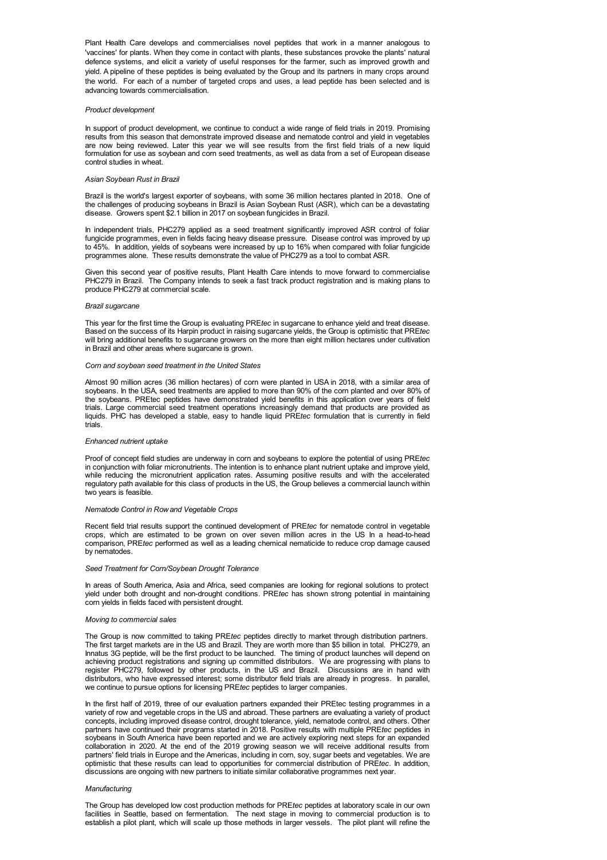Plant Health Care develops and commercialises novel peptides that work in a manner analogous to 'vaccines' for plants. When they come in contact with plants, these substances provoke the plants' natural defence systems, and elicit a variety of useful responses for the farmer, such as improved growth and yield. A pipeline of these peptides is being evaluated by the Group and its partners in many crops around the world. For each of a number of targeted crops and uses, a lead peptide has been selected and is advancing towards commercialisation.

#### *Product development*

In support of product development, we continue to conduct a wide range of field trials in 2019. Promising results from this season that demonstrate improved disease and nematode control and yield in vegetables are now being reviewed. Later this year we will see results from the first field trials of a new liquid formulation for use as soybean and corn seed treatments, as well as data from a set of European disease control studies in wheat.

#### *Asian Soybean Rust in Brazil*

Brazil is the world's largest exporter of soybeans, with some 36 million hectares planted in 2018. One of the challenges of producing soybeans in Brazil is Asian Soybean Rust (ASR), which can be a devastating disease. Growers spent \$2.1 billion in 2017 on soybean fungicides in Brazil.

In independent trials, PHC279 applied as a seed treatment significantly improved ASR control of foliar fungicide programmes, even in fields facing heavy disease pressure. Disease control was improved by up to 45%. In addition, yields of soybeans were increased by up to 16% when compared with foliar fungicide programmes alone. These results demonstrate the value of PHC279 as a tool to combat ASR.

Given this second year of positive results, Plant Health Care intends to move forward to commercialise PHC279 in Brazil. The Company intends to seek a fast track product registration and is making plans to produce PHC279 at commercial scale.

# *Brazil sugarcane*

This year for the first time the Group is evaluating PRE*tec* in sugarcane to enhance yield and treat disease. Based on the success of its Harpin product in raising sugarcane yields, the Group is optimistic that PRE*tec* will bring additional benefits to sugarcane growers on the more than eight million hectares under cultivation in Brazil and other areas where sugarcane is grown.

#### *Corn and soybean seed treatment in the United States*

Almost 90 million acres (36 million hectares) of corn were planted in USA in 2018, with a similar area of soybeans. In the USA, seed treatments are applied to more than 90% of the corn planted and over 80% of the soybeans. PREtec peptides have demonstrated yield benefits in this application over years of field trials. Large commercial seed treatment operations increasingly demand that products are provided as liquids. PHC has developed a stable, easy to handle liquid PRE*tec* formulation that is currently in field trials.

# *Enhanced nutrient uptake*

Proof of concept field studies are underway in corn and soybeans to explore the potential of using PRE*tec* in conjunction with foliar micronutrients. The intention is to enhance plant nutrient uptake and improve yield, while reducing the micronutrient application rates. Assuming positive results and with the accelerated regulatory path available for this class of products in the US, the Group believes a commercial launch within two years is feasible.

### *Nematode Control in Rowand Vegetable Crops*

Recent field trial results support the continued development of PRE*tec* for nematode control in vegetable crops, which are estimated to be grown on over seven million acres in the US In a head-to-head comparison, PRE*tec* performed as well as a leading chemical nematicide to reduce crop damage caused by nematodes.

# *Seed Treatment for Corn/Soybean Drought Tolerance*

In areas of South America, Asia and Africa, seed companies are looking for regional solutions to protect yield under both drought and non-drought conditions. PRE*tec* has shown strong potential in maintaining corn yields in fields faced with persistent drought.

# *Moving to commercial sales*

The Group is now committed to taking PRE*tec* peptides directly to market through distribution partners. The first target markets are in the US and Brazil. They are worth more than \$5 billion in total. PHC279, an Innatus 3G peptide, will be the first product to be launched. The timing of product launches will depend on achieving product registrations and signing up committed distributors. We are progressing with plans to register PHC279, followed by other products, in the US and Brazil. Discussions are in hand with distributors, who have expressed interest; some distributor field trials are already in progress. In parallel, we continue to pursue options for licensing PRE*tec* peptides to larger companies.

In the first half of 2019, three of our evaluation partners expanded their PREtec testing programmes in a variety of row and vegetable crops in the US and abroad. These partners are evaluating a variety of product concepts, including improved disease control, drought tolerance, yield, nematode control, and others. Other partners have continued their programs started in 2018. Positive results with multiple PRE*tec* peptides in soybeans in South America have been reported and we are actively exploring next steps for an expanded collaboration in 2020. At the end of the 2019 growing season we will receive additional results from partners' field trials in Europe and the Americas, including in corn, soy, sugar beets and vegetables. We are optimistic that these results can lead to opportunities for commercial distribution of PRE*tec*. In addition, discussions are ongoing with new partners to initiate similar collaborative programmes next year.

#### *Manufacturing*

The Group has developed low cost production methods for PRE*tec* peptides at laboratory scale in our own facilities in Seattle, based on fermentation. The next stage in moving to commercial production is to establish a pilot plant, which will scale up those methods in larger vessels. The pilot plant will refine the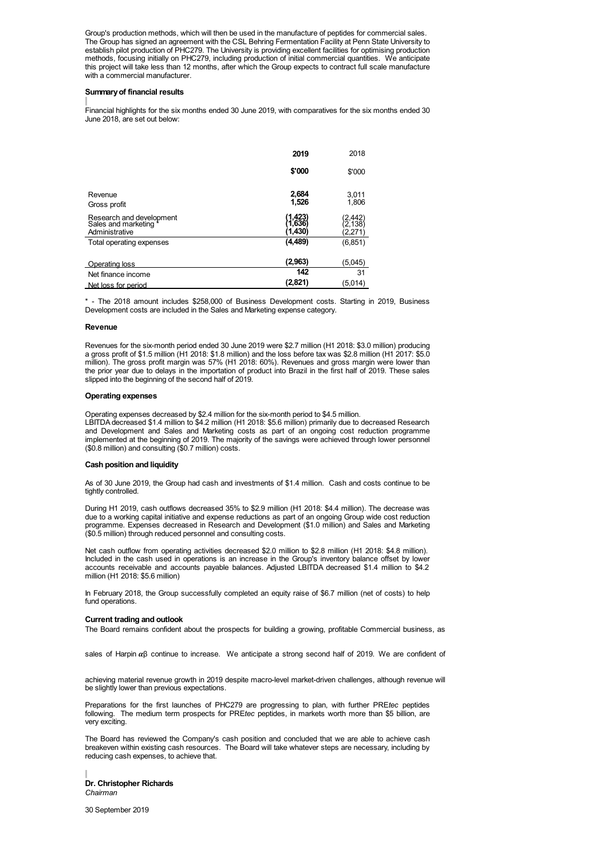Group's production methods, which will then be used in the manufacture of peptides for commercial sales. The Group has signed an agreement with the CSL Behring Fermentation Facility at Penn State University to establish pilot production of PHC279. The University is providing excellent facilities for optimising production methods, focusing initially on PHC279, including production of initial commercial quantities. We anticipate this project will take less than 12 months, after which the Group expects to contract full scale manufacture with a commercial manufacturer.

# **Summaryof financial results**

Financial highlights for the six months ended 30 June 2019, with comparatives for the six months ended 30 June 2018, are set out below:

|                                                                     | 2019                       | 2018                    |
|---------------------------------------------------------------------|----------------------------|-------------------------|
|                                                                     | \$'000                     | \$'000                  |
| Revenue<br>Gross profit                                             | 2,684<br>1,526             | 3,011<br>1,806          |
| Research and development<br>Sales and marketing *<br>Administrative | (1,423)<br>1,636)<br>1,430 | 2,442<br>2.138<br>2,271 |
| Total operating expenses                                            | (4,489)                    | (6, 851)                |
| Operating loss                                                      | (2,963)                    | (5,045)                 |
| Net finance income                                                  | 142                        | 31                      |
| Net loss for period                                                 | (2,821)                    | (5,014)                 |

\* - The 2018 amount includes \$258,000 of Business Development costs. Starting in 2019, Business Development costs are included in the Sales and Marketing expense category.

### **Revenue**

Revenues for the six-month period ended 30 June 2019 were \$2.7 million (H1 2018: \$3.0 million) producing a gross profit of \$1.5 million (H1 2018: \$1.8 million) and the loss before tax was \$2.8 million (H1 2017: \$5.0 million). The gross profit margin was 57% (H1 2018: 60%). Revenues and gross margin were lower than the prior year due to delays in the importation of product into Brazil in the first half of 2019. These sales slipped into the beginning of the second half of 2019.

### **Operating expenses**

Operating expenses decreased by \$2.4 million for the six-month period to \$4.5 million. LBITDA decreased \$1.4 million to \$4.2 million (H1 2018: \$5.6 million) primarily due to decreased Research and Development and Sales and Marketing costs as part of an ongoing cost reduction programme implemented at the beginning of 2019. The majority of the savings were achieved through lower personnel (\$0.8 million) and consulting (\$0.7 million) costs.

#### **Cash position and liquidity**

As of 30 June 2019, the Group had cash and investments of \$1.4 million. Cash and costs continue to be tightly controlled.

During H1 2019, cash outflows decreased 35% to \$2.9 million (H1 2018: \$4.4 million). The decrease was due to a working capital initiative and expense reductions as part of an ongoing Group wide cost reduction programme. Expenses decreased in Research and Development (\$1.0 million) and Sales and Marketing (\$0.5 million) through reduced personnel and consulting costs.

Net cash outflow from operating activities decreased \$2.0 million to \$2.8 million (H1 2018: \$4.8 million). Included in the cash used in operations is an increase in the Group's inventory balance offset by lower accounts receivable and accounts payable balances. Adjusted LBITDA decreased \$1.4 million to \$4.2 million (H1 2018: \$5.6 million)

In February 2018, the Group successfully completed an equity raise of \$6.7 million (net of costs) to help fund operations.

# **Current trading and outlook**

The Board remains confident about the prospects for building a growing, profitable Commercial business, as

sales of Harpin  $\alpha\beta$  continue to increase. We anticipate a strong second half of 2019. We are confident of

achieving material revenue growth in 2019 despite macro-level market-driven challenges, although revenue will be slightly lower than previous expectations.

Preparations for the first launches of PHC279 are progressing to plan, with further PRE*tec* peptides following. The medium term prospects for PRE*tec* peptides, in markets worth more than \$5 billion, are very exciting.

The Board has reviewed the Company's cash position and concluded that we are able to achieve cash breakeven within existing cash resources. The Board will take whatever steps are necessary, including by reducing cash expenses, to achieve that.

**Dr. Christopher Richards** *Chairman*

30 September 2019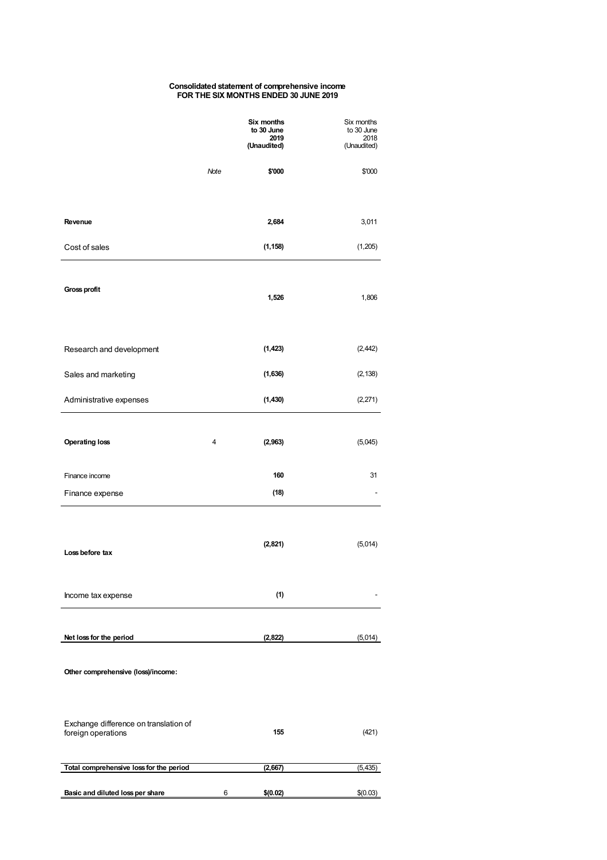### **Consolidated statement of comprehensive income FOR THE SIX MONTHS ENDED 30 JUNE 2019**

|                                                             |      | Six months<br>to 30 June<br>2019<br>(Unaudited) | Six months<br>to 30 June<br>2018<br>(Unaudited) |
|-------------------------------------------------------------|------|-------------------------------------------------|-------------------------------------------------|
|                                                             | Note | \$'000                                          | \$'000                                          |
| Revenue                                                     |      | 2,684                                           | 3,011                                           |
| Cost of sales                                               |      | (1, 158)                                        | (1,205)                                         |
| Gross profit                                                |      | 1,526                                           | 1,806                                           |
| Research and development                                    |      | (1, 423)                                        | (2, 442)                                        |
| Sales and marketing                                         |      | (1,636)                                         | (2, 138)                                        |
| Administrative expenses                                     |      | (1, 430)                                        | (2, 271)                                        |
| <b>Operating loss</b>                                       | 4    | (2, 963)                                        | (5,045)                                         |
| Finance income                                              |      | 160                                             | 31                                              |
| Finance expense                                             |      | (18)                                            | ۰                                               |
| Loss before tax                                             |      | (2,821)                                         | (5,014)                                         |
| Income tax expense                                          |      | (1)                                             |                                                 |
| Net loss for the period                                     |      | (2, 822)                                        | (5,014)                                         |
| Other comprehensive (loss)/income:                          |      |                                                 |                                                 |
| Exchange difference on translation of<br>foreign operations |      | 155                                             | (421)                                           |
| Total comprehensive loss for the period                     |      | (2,667)                                         | (5, 435)                                        |
| Basic and diluted loss per share                            | 6    | \$(0.02)                                        | \$(0.03)                                        |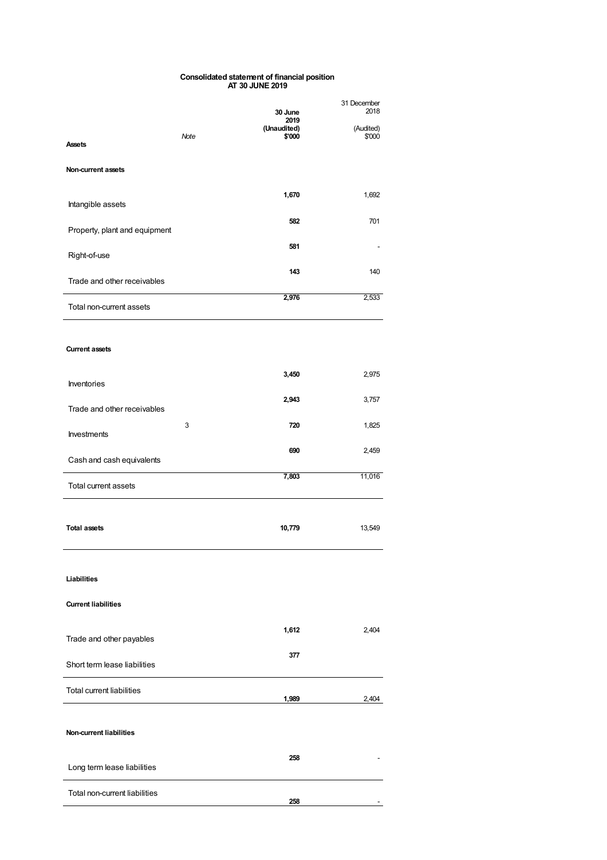### **Consolidated statement of financial position AT 30 JUNE 2019**

|                                  | Note | 30 June<br>2019<br>(Unaudited)<br>\$'000 | 31 December<br>2018<br>(Audited)<br>\$'000 |
|----------------------------------|------|------------------------------------------|--------------------------------------------|
| <b>Assets</b>                    |      |                                          |                                            |
| Non-current assets               |      |                                          |                                            |
| Intangible assets                |      | 1,670                                    | 1,692                                      |
| Property, plant and equipment    |      | 582                                      | 701                                        |
| Right-of-use                     |      | 581                                      |                                            |
| Trade and other receivables      |      | 143                                      | 140                                        |
| Total non-current assets         |      | 2,976                                    | 2,533                                      |
| <b>Current assets</b>            |      |                                          |                                            |
| Inventories                      |      | 3,450                                    | 2,975                                      |
| Trade and other receivables      |      | 2,943                                    | 3,757                                      |
| <b>Investments</b>               | 3    | 720                                      | 1,825                                      |
| Cash and cash equivalents        |      | 690                                      | 2,459                                      |
| Total current assets             |      | 7,803                                    | 11,016                                     |
| <b>Total assets</b>              |      | 10,779                                   | 13,549                                     |
| <b>Liabilities</b>               |      |                                          |                                            |
| <b>Current liabilities</b>       |      |                                          |                                            |
| Trade and other payables         |      | 1,612                                    | 2,404                                      |
| Short term lease liabilities     |      | 377                                      |                                            |
| <b>Total current liabilities</b> |      | 1,989                                    | 2,404                                      |
| <b>Non-current liabilities</b>   |      |                                          |                                            |
| Long term lease liabilities      |      | 258                                      |                                            |
| Total non-current liabilities    |      |                                          |                                            |

**258** -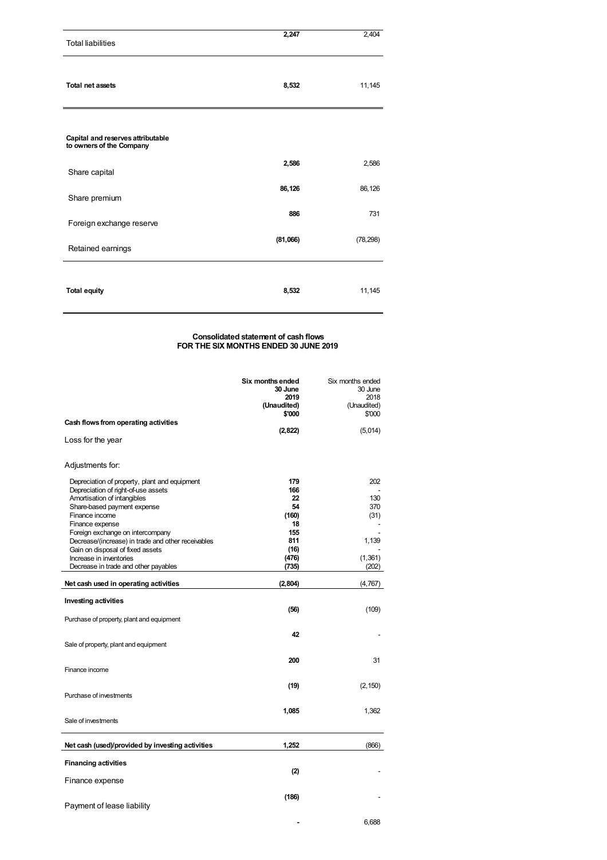| <b>Total liabilities</b>                                      | 2,247    | 2,404     |
|---------------------------------------------------------------|----------|-----------|
| <b>Total net assets</b>                                       | 8,532    | 11,145    |
| Capital and reserves attributable<br>to owners of the Company |          |           |
| Share capital                                                 | 2,586    | 2,586     |
| Share premium                                                 | 86,126   | 86,126    |
| Foreign exchange reserve                                      | 886      | 731       |
| Retained earnings                                             | (81,066) | (78, 298) |
| <b>Total equity</b>                                           | 8,532    | 11,145    |

# **Consolidated statement of cash flows FOR THE SIX MONTHS ENDED 30 JUNE 2019**

|                                                                                                                                                                                                                                                                                                                                                  | Six months ended<br>30 June<br>2019<br>(Unaudited)                   | Six months ended<br>30 June<br>2018<br>(Unaudited) |
|--------------------------------------------------------------------------------------------------------------------------------------------------------------------------------------------------------------------------------------------------------------------------------------------------------------------------------------------------|----------------------------------------------------------------------|----------------------------------------------------|
| Cash flows from operating activities                                                                                                                                                                                                                                                                                                             | \$'000                                                               | \$'000                                             |
| Loss for the year                                                                                                                                                                                                                                                                                                                                | (2,822)                                                              | (5,014)                                            |
| Adjustments for:                                                                                                                                                                                                                                                                                                                                 |                                                                      |                                                    |
| Depreciation of property, plant and equipment<br>Depreciation of right-of-use assets<br>Amortisation of intangibles<br>Share-based payment expense<br>Finance income<br>Finance expense<br>Foreign exchange on intercompany<br>Decrease/(increase) in trade and other receivables<br>Gain on disposal of fixed assets<br>Increase in inventories | 179<br>166<br>22<br>54<br>(160)<br>18<br>155<br>811<br>(16)<br>(476) | 202<br>130<br>370<br>(31)<br>1,139<br>(1,361)      |
| Decrease in trade and other payables                                                                                                                                                                                                                                                                                                             | (735)                                                                | (202)                                              |
| Net cash used in operating activities                                                                                                                                                                                                                                                                                                            | (2,804)                                                              | (4, 767)                                           |
| <b>Investing activities</b><br>Purchase of property, plant and equipment                                                                                                                                                                                                                                                                         | (56)                                                                 | (109)                                              |
| Sale of property, plant and equipment                                                                                                                                                                                                                                                                                                            | 42                                                                   |                                                    |
| Finance income                                                                                                                                                                                                                                                                                                                                   | 200                                                                  | 31                                                 |
| Purchase of investments                                                                                                                                                                                                                                                                                                                          | (19)                                                                 | (2, 150)                                           |
| Sale of investments                                                                                                                                                                                                                                                                                                                              | 1,085                                                                | 1,362                                              |
| Net cash (used)/provided by investing activities                                                                                                                                                                                                                                                                                                 | 1,252                                                                | (866)                                              |
| <b>Financing activities</b>                                                                                                                                                                                                                                                                                                                      |                                                                      |                                                    |
| Finance expense                                                                                                                                                                                                                                                                                                                                  | (2)                                                                  |                                                    |
| Payment of lease liability                                                                                                                                                                                                                                                                                                                       | (186)                                                                |                                                    |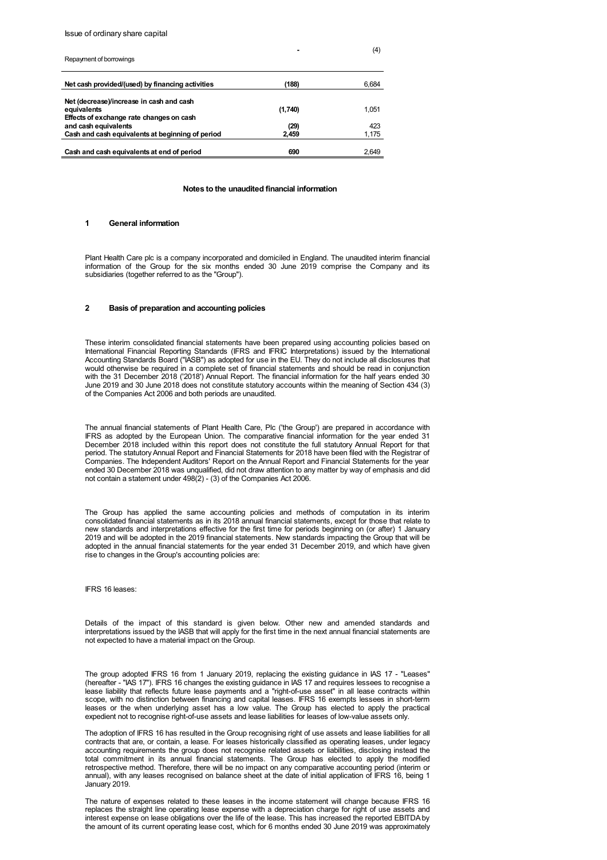## Issue of ordinary share capital

| Repayment of borrowings                                                                             |         | (4)   |
|-----------------------------------------------------------------------------------------------------|---------|-------|
| Net cash provided/(used) by financing activities                                                    | (188)   | 6,684 |
| Net (decrease)/increase in cash and cash<br>equivalents<br>Effects of exchange rate changes on cash | (1,740) | 1.051 |
| and cash equivalents                                                                                | (29)    | 423   |
| Cash and cash equivalents at beginning of period                                                    | 2.459   | 1,175 |
| Cash and cash equivalents at end of period                                                          | 690     | 2.649 |

### **Notes to the unaudited financial information**

# **1 General information**

Plant Health Care plc is a company incorporated and domiciled in England. The unaudited interim financial information of the Group for the six months ended 30 June 2019 comprise the Company and its subsidiaries (together referred to as the "Group").

# **2 Basis of preparation and accounting policies**

These interim consolidated financial statements have been prepared using accounting policies based on International Financial Reporting Standards (IFRS and IFRIC Interpretations) issued by the International Accounting Standards Board ("IASB") as adopted for use in the EU. They do not include all disclosures that would otherwise be required in a complete set of financial statements and should be read in conjunction with the 31 December 2018 ('2018') Annual Report. The financial information for the half years ended 30 June 2019 and 30 June 2018 does not constitute statutory accounts within the meaning of Section 434 (3) of the Companies Act 2006 and both periods are unaudited.

The annual financial statements of Plant Health Care, Plc ('the Group') are prepared in accordance with IFRS as adopted by the European Union. The comparative financial information for the year ended 31 December 2018 included within this report does not constitute the full statutory Annual Report for that period. The statutory Annual Report and Financial Statements for 2018 have been filed with the Registrar of Companies. The Independent Auditors' Report on the Annual Report and Financial Statements for the year ended 30 December 2018 was unqualified, did not draw attention to any matter by way of emphasis and did not contain a statement under 498(2) - (3) of the Companies Act 2006.

The Group has applied the same accounting policies and methods of computation in its interim consolidated financial statements as in its 2018 annual financial statements, except for those that relate to new standards and interpretations effective for the first time for periods beginning on (or after) 1 January 2019 and will be adopted in the 2019 financial statements. New standards impacting the Group that will be adopted in the annual financial statements for the year ended 31 December 2019, and which have given rise to changes in the Group's accounting policies are:

IFRS 16 leases:

Details of the impact of this standard is given below. Other new and amended standards and interpretations issued by the IASB that will apply for the first time in the next annual financial statements are not expected to have a material impact on the Group.

The group adopted IFRS 16 from 1 January 2019, replacing the existing guidance in IAS 17 - "Leases" (hereafter - "IAS 17"). IFRS 16 changes the existing guidance in IAS 17 and requires lessees to recognise a lease liability that reflects future lease payments and a "right-of-use asset" in all lease contracts within scope, with no distinction between financing and capital leases. IFRS 16 exempts lessees in short-term leases or the when underlying asset has a low value. The Group has elected to apply the practical expedient not to recognise right-of-use assets and lease liabilities for leases of low-value assets only.

The adoption of IFRS 16 has resulted in the Group recognising right of use assets and lease liabilities for all contracts that are, or contain, a lease. For leases historically classified as operating leases, under legacy accounting requirements the group does not recognise related assets or liabilities, disclosing instead the total commitment in its annual financial statements. The Group has elected to apply the modified retrospective method. Therefore, there will be no impact on any comparative accounting period (interim or annual), with any leases recognised on balance sheet at the date of initial application of IFRS 16, being 1 January 2019.

The nature of expenses related to these leases in the income statement will change because IFRS 16 replaces the straight line operating lease expense with a depreciation charge for right of use assets and interest expense on lease obligations over the life of the lease. This has increased the reported EBITDAby the amount of its current operating lease cost, which for 6 months ended 30 June 2019 was approximately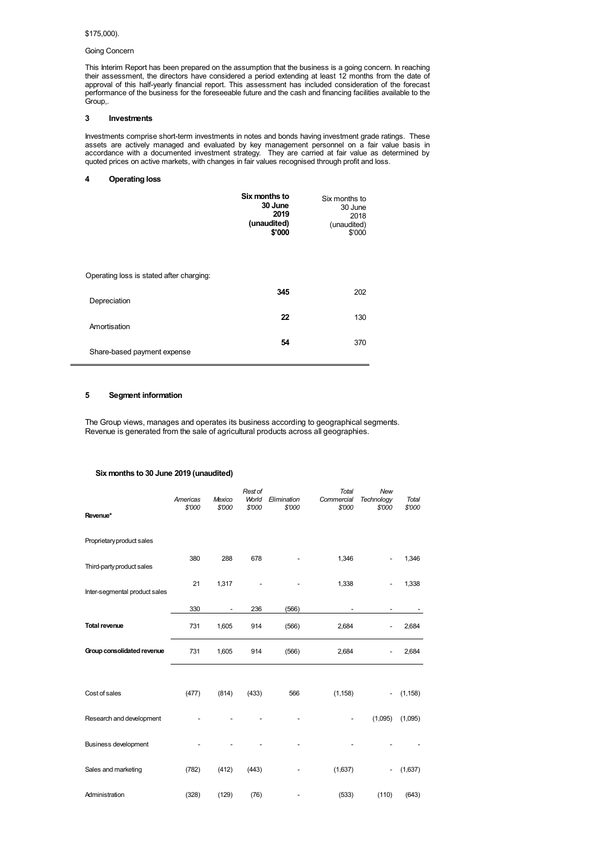# \$175,000).

# Going Concern

This Interim Report has been prepared on the assumption that the business is a going concern. In reaching their assessment, the directors have considered a period extending at least 12 months from the date of approval of this half-yearly financial report. This assessment has included consideration of the forecast performance of the business for the foreseeable future and the cash and financing facilities available to the Group,.

# **3 Investments**

Investments comprise short-term investments in notes and bonds having investment grade ratings. These assets are actively managed and evaluated by key management personnel on a fair value basis in accordance with a documented investment strategy. They are carried at fair value as determined by quoted prices on active markets, with changes in fair values recognised through profit and loss.

# **4 Operating loss**

|                                          | Six months to<br>30 June<br>2019<br>(unaudited)<br>\$'000 | Six months to<br>30 June<br>2018<br>(unaudited)<br>\$'000 |
|------------------------------------------|-----------------------------------------------------------|-----------------------------------------------------------|
| Operating loss is stated after charging: |                                                           |                                                           |
| Depreciation                             | 345                                                       | 202                                                       |
| Amortisation                             | 22                                                        | 130                                                       |
| Share-based payment expense              | 54                                                        | 370                                                       |

# **5 Segment information**

The Group views, manages and operates its business according to geographical segments. Revenue is generated from the sale of agricultural products across all geographies.

# **Six months to 30 June 2019 (unaudited)**

| Revenue*                      | Americas<br>\$'000 | Mexico<br>\$'000         | Rest of<br>World<br>\$'000 | Elimination<br>\$'000 | <b>Total</b><br>Commercial<br>\$'000 | New<br>Technology<br>\$'000 | <b>Total</b><br>\$'000 |
|-------------------------------|--------------------|--------------------------|----------------------------|-----------------------|--------------------------------------|-----------------------------|------------------------|
| Proprietary product sales     |                    |                          |                            |                       |                                      |                             |                        |
| Third-party product sales     | 380                | 288                      | 678                        |                       | 1,346                                |                             | 1,346                  |
| Inter-segmental product sales | 21                 | 1,317                    |                            |                       | 1,338                                |                             | 1,338                  |
|                               | 330                | $\overline{\phantom{a}}$ | 236                        | (566)                 |                                      | $\overline{\phantom{a}}$    |                        |
| <b>Total revenue</b>          | 731                | 1,605                    | 914                        | (566)                 | 2,684                                |                             | 2,684                  |
| Group consolidated revenue    | 731                | 1,605                    | 914                        | (566)                 | 2,684                                |                             | 2,684                  |
|                               |                    |                          |                            |                       |                                      |                             |                        |
| Cost of sales                 | (477)              | (814)                    | (433)                      | 566                   | (1, 158)                             | $\overline{\phantom{0}}$    | (1, 158)               |
| Research and development      |                    |                          |                            |                       |                                      | (1,095)                     | (1,095)                |
| <b>Business development</b>   |                    |                          |                            |                       |                                      |                             |                        |
| Sales and marketing           | (782)              | (412)                    | (443)                      |                       | (1,637)                              | $\overline{a}$              | (1,637)                |
| Administration                | (328)              | (129)                    | (76)                       |                       | (533)                                | (110)                       | (643)                  |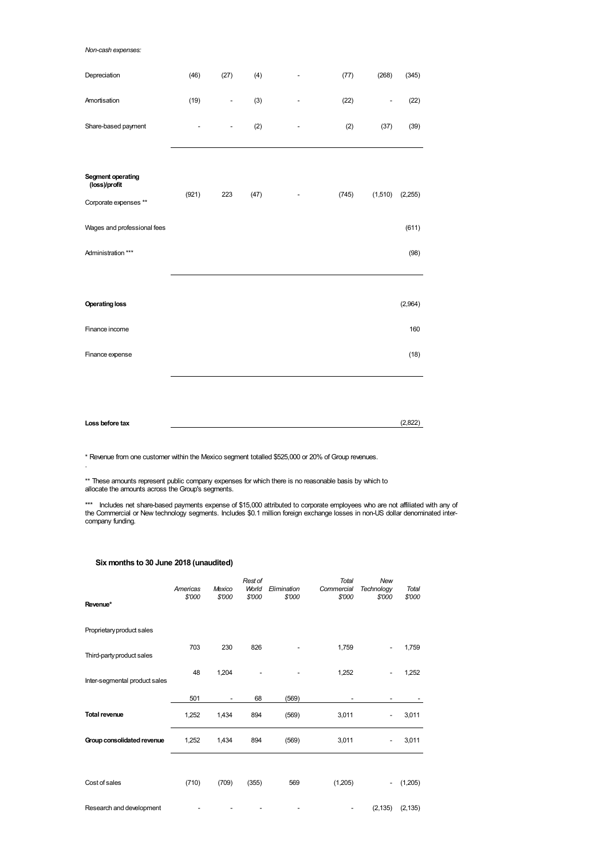# *Non-cash expenses:*

| Depreciation                                                | (46)  | (27)          | (4)  | ٠                            | (77)  | (268)                    | (345)   |
|-------------------------------------------------------------|-------|---------------|------|------------------------------|-------|--------------------------|---------|
| Amortisation                                                | (19)  | -             | (3)  |                              | (22)  | $\overline{\phantom{0}}$ | (22)    |
| Share-based payment                                         |       | $\frac{1}{2}$ | (2)  |                              | (2)   | (37)                     | (39)    |
| Segment operating<br>(loss)/profit<br>Corporate expenses ** | (921) | 223           | (47) | $\qquad \qquad \blacksquare$ | (745) | (1,510)                  | (2,255) |
| Wages and professional fees                                 |       |               |      |                              |       |                          | (611)   |
| Administration ***                                          |       |               |      |                              |       |                          | (98)    |
|                                                             |       |               |      |                              |       |                          |         |
| <b>Operating loss</b>                                       |       |               |      |                              |       |                          | (2,964) |
| Finance income                                              |       |               |      |                              |       |                          | 160     |
| Finance expense                                             |       |               |      |                              |       |                          | (18)    |
|                                                             |       |               |      |                              |       |                          |         |

**Loss before tax** (2,822)

\* Revenue from one customer within the Mexico segment totalled \$525,000 or 20% of Group revenues.

\*\* These amounts represent public company expenses for which there is no reasonable basis by which to allocate the amounts across the Group's segments.

\*\*\* Includes net share-based payments expense of \$15,000 attributed to corporate employees who are not affiliated with any of<br>the Commercial or New technology segments. Includes \$0.1 million foreign exchange losses in noncompany funding.

# **Six months to 30 June 2018 (unaudited)**

.

| Revenue*                      | Americas<br>\$'000 | Mexico<br>\$'000         | Rest of<br>World<br>\$'000 | Elimination<br>\$'000 | <b>Total</b><br>Commercial<br>\$'000 | New<br>Technology<br>\$'000 | Total<br>\$'000 |
|-------------------------------|--------------------|--------------------------|----------------------------|-----------------------|--------------------------------------|-----------------------------|-----------------|
| Proprietary product sales     |                    |                          |                            |                       |                                      |                             |                 |
| Third-party product sales     | 703                | 230                      | 826                        |                       | 1,759                                |                             | 1,759           |
| Inter-segmental product sales | 48                 | 1,204                    |                            |                       | 1,252                                |                             | 1,252           |
|                               | 501                | $\overline{\phantom{a}}$ | 68                         | (569)                 |                                      | -                           |                 |
| <b>Total revenue</b>          | 1,252              | 1,434                    | 894                        | (569)                 | 3,011                                |                             | 3,011           |
| Group consolidated revenue    | 1,252              | 1,434                    | 894                        | (569)                 | 3,011                                |                             | 3,011           |
|                               |                    |                          |                            |                       |                                      |                             |                 |
| Cost of sales                 | (710)              | (709)                    | (355)                      | 569                   | (1,205)                              | $\overline{\phantom{0}}$    | (1,205)         |
| Research and development      |                    |                          |                            |                       | $\overline{\phantom{a}}$             | (2, 135)                    | (2, 135)        |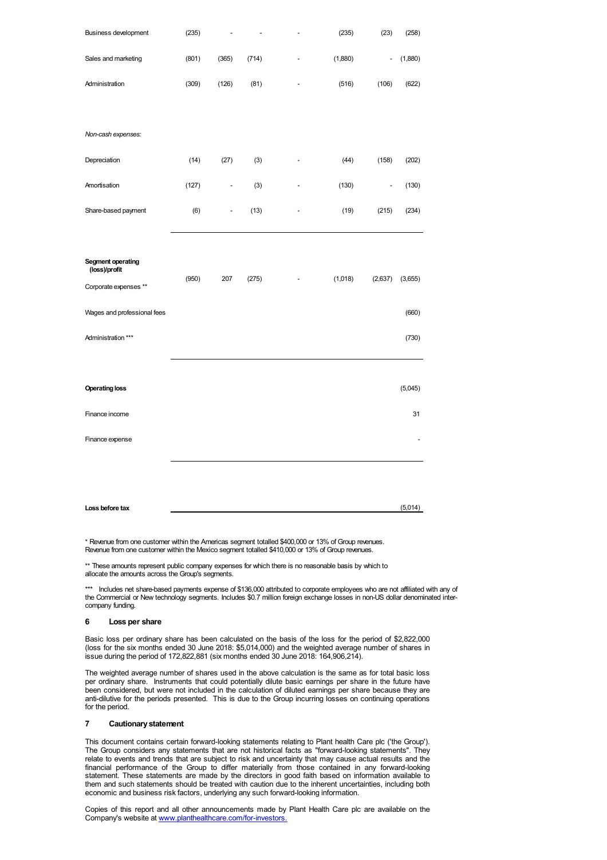| Business development               | (235) |       |       | ÷,                       | (235)   | (23)           | (258)          |
|------------------------------------|-------|-------|-------|--------------------------|---------|----------------|----------------|
| Sales and marketing                | (801) | (365) | (714) | ÷,                       | (1,880) |                | (1,880)        |
| Administration                     | (309) | (126) | (81)  | $\qquad \qquad -$        | (516)   | (106)          | (622)          |
|                                    |       |       |       |                          |         |                |                |
| Non-cash expenses:                 |       |       |       |                          |         |                |                |
| Depreciation                       | (14)  | (27)  | (3)   | $\overline{a}$           | (44)    | (158)          | (202)          |
| Amortisation                       | (127) | -     | (3)   |                          | (130)   | $\overline{a}$ | (130)          |
| Share-based payment                | (6)   | -     | (13)  |                          | (19)    | (215)          | (234)          |
|                                    |       |       |       |                          |         |                |                |
| Segment operating<br>(loss)/profit |       |       |       |                          |         |                |                |
| Corporate expenses **              | (950) | 207   | (275) | $\overline{\phantom{a}}$ | (1,018) | (2,637)        | (3,655)        |
| Wages and professional fees        |       |       |       |                          |         |                | (660)          |
| Administration ***                 |       |       |       |                          |         |                | (730)          |
|                                    |       |       |       |                          |         |                |                |
| <b>Operating loss</b>              |       |       |       |                          |         |                | (5,045)        |
| Finance income                     |       |       |       |                          |         |                | 31             |
| Finance expense                    |       |       |       |                          |         |                | $\overline{a}$ |
|                                    |       |       |       |                          |         |                |                |
|                                    |       |       |       |                          |         |                |                |
| Loss before tax                    |       |       |       |                          |         |                | (5,014)        |

\* Revenue from one customer within the Americas segment totalled \$400,000 or 13% of Group revenues. Revenue from one customer within the Mexico segment totalled \$410,000 or 13% of Group revenues.

\*\* These amounts represent public company expenses for which there is no reasonable basis by which to allocate the amounts across the Group's segments.

\*\*\* Includes net share-based payments expense of \$136,000 attributed to corporate employees who are not affiliated with any of the Commercial or New technology segments. Includes \$0.7 million foreign exchange losses in non-US dollar denominated intercompany funding.

# **6 Loss per share**

Basic loss per ordinary share has been calculated on the basis of the loss for the period of \$2,822,000 (loss for the six months ended 30 June 2018: \$5,014,000) and the weighted average number of shares in issue during the period of 172,822,881 (six months ended 30 June 2018: 164,906,214).

The weighted average number of shares used in the above calculation is the same as for total basic loss per ordinary share. Instruments that could potentially dilute basic earnings per share in the future have been considered, but were not included in the calculation of diluted earnings per share because they are anti-dilutive for the periods presented. This is due to the Group incurring losses on continuing operations for the period.

# **7 Cautionarystatement**

This document contains certain forward-looking statements relating to Plant health Care plc ('the Group'). The Group considers any statements that are not historical facts as "forward-looking statements". They relate to events and trends that are subject to risk and uncertainty that may cause actual results and the financial performance of the Group to differ materially from those contained in any forward-looking statement. These statements are made by the directors in good faith based on information available to them and such statements should be treated with caution due to the inherent uncertainties, including both economic and business risk factors, underlying any such forward-looking information.

Copies of this report and all other announcements made by Plant Health Care plc are available on the Company's website at [www.planthealthcare.com/for-investors.](http://www.planthealthcare.com/for-investors.)